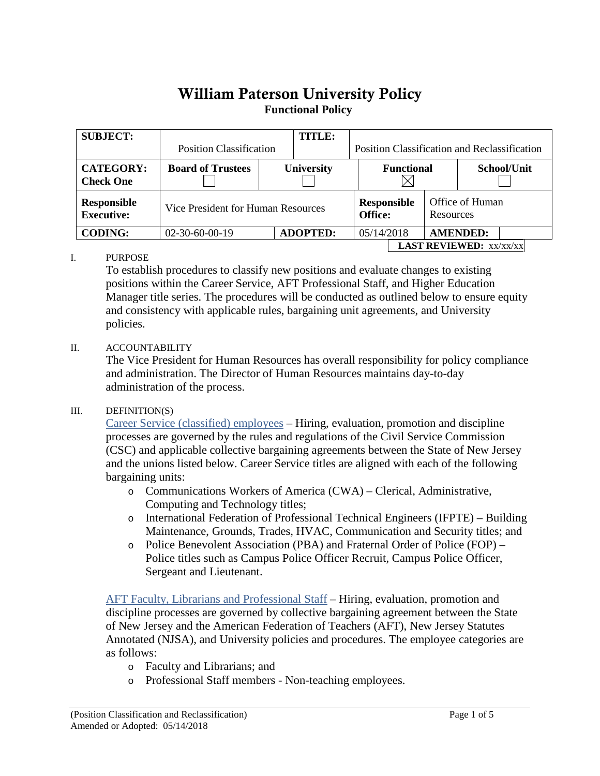# William Paterson University Policy**Functional Policy**

| <b>SUBJECT:</b>                      | <b>Position Classification</b>     | <b>TITLE:</b>     | <b>Position Classification and Reclassification</b> |                                  |                   |                              |                 |             |  |
|--------------------------------------|------------------------------------|-------------------|-----------------------------------------------------|----------------------------------|-------------------|------------------------------|-----------------|-------------|--|
| <b>CATEGORY:</b><br><b>Check One</b> | <b>Board of Trustees</b>           | <b>University</b> |                                                     |                                  | <b>Functional</b> |                              |                 | School/Unit |  |
| Responsible<br><b>Executive:</b>     | Vice President for Human Resources |                   |                                                     | <b>Responsible</b><br>Office:    |                   | Office of Human<br>Resources |                 |             |  |
| <b>CODING:</b>                       | $02-30-60-00-19$                   |                   | <b>ADOPTED:</b>                                     |                                  | 05/14/2018        |                              | <b>AMENDED:</b> |             |  |
|                                      |                                    |                   |                                                     | <b>LAST REVIEWED:</b> $xx/xx/xx$ |                   |                              |                 |             |  |

### I. PURPOSE

To establish procedures to classify new positions and evaluate changes to existing positions within the Career Service, AFT Professional Staff, and Higher Education Manager title series. The procedures will be conducted as outlined below to ensure equity and consistency with applicable rules, bargaining unit agreements, and University policies.

#### II. ACCOUNTABILITY

The Vice President for Human Resources has overall responsibility for policy compliance and administration. The Director of Human Resources maintains day-to-day administration of the process.

#### III. DEFINITION(S)

Career Service (classified) employees – Hiring, evaluation, promotion and discipline processes are governed by the rules and regulations of the Civil Service Commission (CSC) and applicable collective bargaining agreements between the State of New Jersey and the unions listed below. Career Service titles are aligned with each of the following bargaining units:

- o Communications Workers of America (CWA) Clerical, Administrative, Computing and Technology titles;
- o International Federation of Professional Technical Engineers (IFPTE) Building Maintenance, Grounds, Trades, HVAC, Communication and Security titles; and
- o Police Benevolent Association (PBA) and Fraternal Order of Police (FOP) Police titles such as Campus Police Officer Recruit, Campus Police Officer, Sergeant and Lieutenant.

 AFT Faculty, Librarians and Professional Staff – Hiring, evaluation, promotion and discipline processes are governed by collective bargaining agreement between the State of New Jersey and the American Federation of Teachers (AFT), New Jersey Statutes Annotated (NJSA), and University policies and procedures. The employee categories are as follows:

- o Faculty and Librarians; and
- o Professional Staff members Non-teaching employees.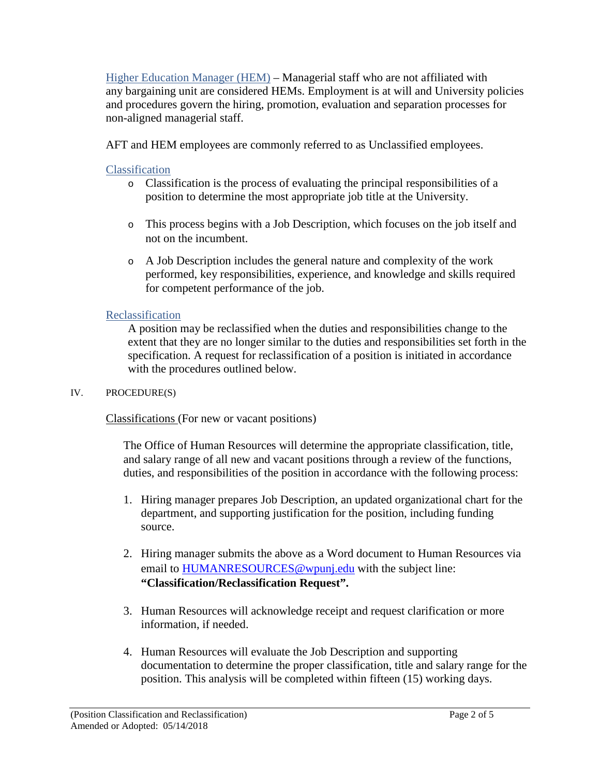Higher Education Manager (HEM) – Managerial staff who are not affiliated with any bargaining unit are considered HEMs. Employment is at will and University policies and procedures govern the hiring, promotion, evaluation and separation processes for non-aligned managerial staff.

AFT and HEM employees are commonly referred to as Unclassified employees.

# Classification

- o Classification is the process of evaluating the principal responsibilities of a position to determine the most appropriate job title at the University.
- o This process begins with a Job Description, which focuses on the job itself and not on the incumbent.
- o A Job Description includes the general nature and complexity of the work performed, key responsibilities, experience, and knowledge and skills required for competent performance of the job.

# Reclassification

A position may be reclassified when the duties and responsibilities change to the extent that they are no longer similar to the duties and responsibilities set forth in the specification. A request for reclassification of a position is initiated in accordance with the procedures outlined below.

## IV. PROCEDURE(S)

Classifications (For new or vacant positions)

The Office of Human Resources will determine the appropriate classification, title, and salary range of all new and vacant positions through a review of the functions, duties, and responsibilities of the position in accordance with the following process:

- 1. Hiring manager prepares Job Description, an updated organizational chart for the department, and supporting justification for the position, including funding source.
- 2. Hiring manager submits the above as a Word document to Human Resources via email to [HUMANRESOURCES@wpunj.edu](mailto:HUMANRESOURCES@wpunj.edu) with the subject line: **"Classification/Reclassification Request".**
- 3. Human Resources will acknowledge receipt and request clarification or more information, if needed.
- 4. Human Resources will evaluate the Job Description and supporting documentation to determine the proper classification, title and salary range for the position. This analysis will be completed within fifteen (15) working days.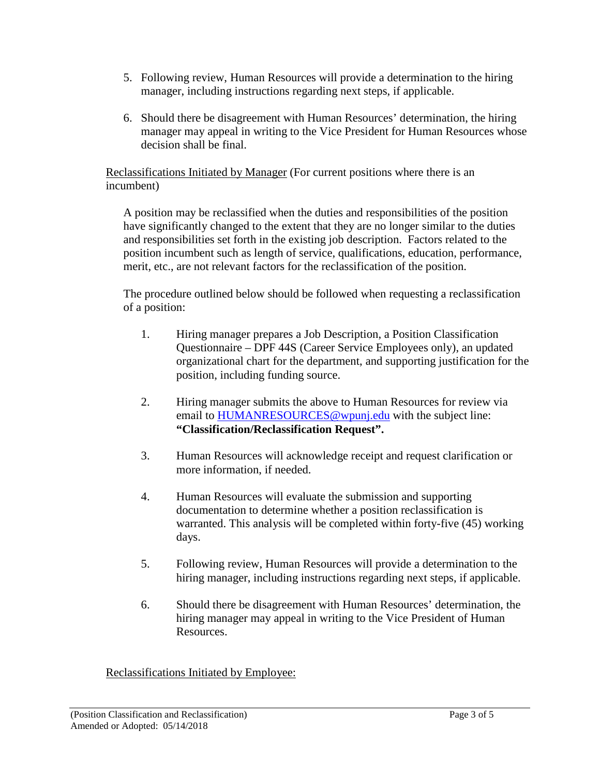- 5. Following review, Human Resources will provide a determination to the hiring manager, including instructions regarding next steps, if applicable.
- 6. Should there be disagreement with Human Resources' determination, the hiring manager may appeal in writing to the Vice President for Human Resources whose decision shall be final.

Reclassifications Initiated by Manager (For current positions where there is an incumbent)

A position may be reclassified when the duties and responsibilities of the position have significantly changed to the extent that they are no longer similar to the duties and responsibilities set forth in the existing job description. Factors related to the position incumbent such as length of service, qualifications, education, performance, merit, etc., are not relevant factors for the reclassification of the position.

The procedure outlined below should be followed when requesting a reclassification of a position:

- 1. Hiring manager prepares a Job Description, a Position Classification Questionnaire – DPF 44S (Career Service Employees only), an updated organizational chart for the department, and supporting justification for the position, including funding source.
- 2. Hiring manager submits the above to Human Resources for review via email to [HUMANRESOURCES@wpunj.edu](mailto:HUMANRESOURCES@wpunj.edu) with the subject line: **"Classification/Reclassification Request".**
- 3. Human Resources will acknowledge receipt and request clarification or more information, if needed.
- 4. Human Resources will evaluate the submission and supporting documentation to determine whether a position reclassification is warranted. This analysis will be completed within forty-five (45) working days.
- 5. Following review, Human Resources will provide a determination to the hiring manager, including instructions regarding next steps, if applicable.
- 6. Should there be disagreement with Human Resources' determination, the hiring manager may appeal in writing to the Vice President of Human Resources.

Reclassifications Initiated by Employee: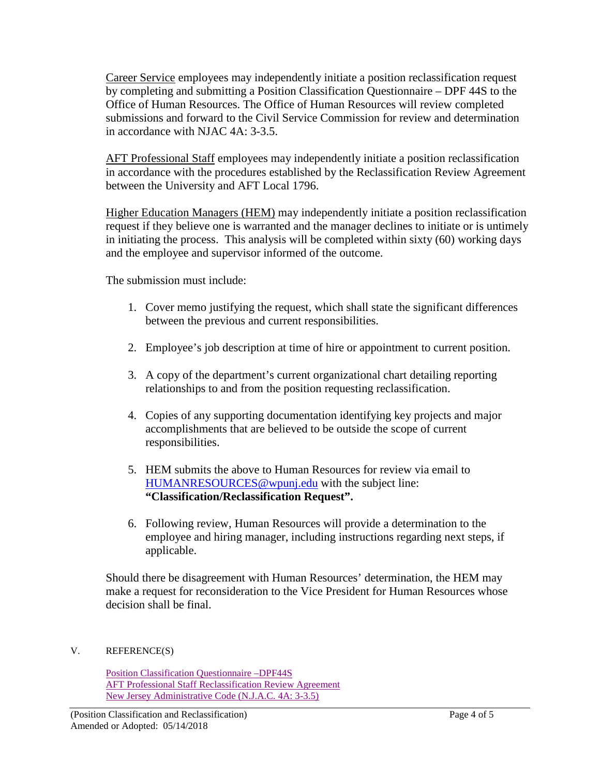Career Service employees may independently initiate a position reclassification request by completing and submitting a Position Classification Questionnaire – DPF 44S to the Office of Human Resources. The Office of Human Resources will review completed submissions and forward to the Civil Service Commission for review and determination in accordance with NJAC 4A: 3-3.5.

AFT Professional Staff employees may independently initiate a position reclassification in accordance with the procedures established by the Reclassification Review Agreement between the University and AFT Local 1796.

Higher Education Managers (HEM) may independently initiate a position reclassification request if they believe one is warranted and the manager declines to initiate or is untimely in initiating the process. This analysis will be completed within sixty (60) working days and the employee and supervisor informed of the outcome.

The submission must include:

- 1. Cover memo justifying the request, which shall state the significant differences between the previous and current responsibilities.
- 2. Employee's job description at time of hire or appointment to current position.
- 3. A copy of the department's current organizational chart detailing reporting relationships to and from the position requesting reclassification.
- 4. Copies of any supporting documentation identifying key projects and major accomplishments that are believed to be outside the scope of current responsibilities.
- 5. HEM submits the above to Human Resources for review via email to [HUMANRESOURCES@wpunj.edu](mailto:HUMANRESOURCES@wpunj.edu) with the subject line: **"Classification/Reclassification Request".**
- 6. Following review, Human Resources will provide a determination to the employee and hiring manager, including instructions regarding next steps, if applicable.

Should there be disagreement with Human Resources' determination, the HEM may make a request for reconsideration to the Vice President for Human Resources whose decision shall be final.

## V. REFERENCE(S)

[Position Classification Questionnaire –DPF44S](http://www.state.nj.us/csc/about/publications/forms/pdf/dpf-44S_FormFielded.pdf) [AFT Professional Staff Reclassification Review Agreement](https://www.wpunj.edu/human-resources/faculty-and-professional-staff-handbook/reclassification-review-agreement.html) [New Jersey Administrative Code \(N.J.A.C. 4A: 3-3.5\)](http://state.nj.us/csc/about/about/regulations/index.html)